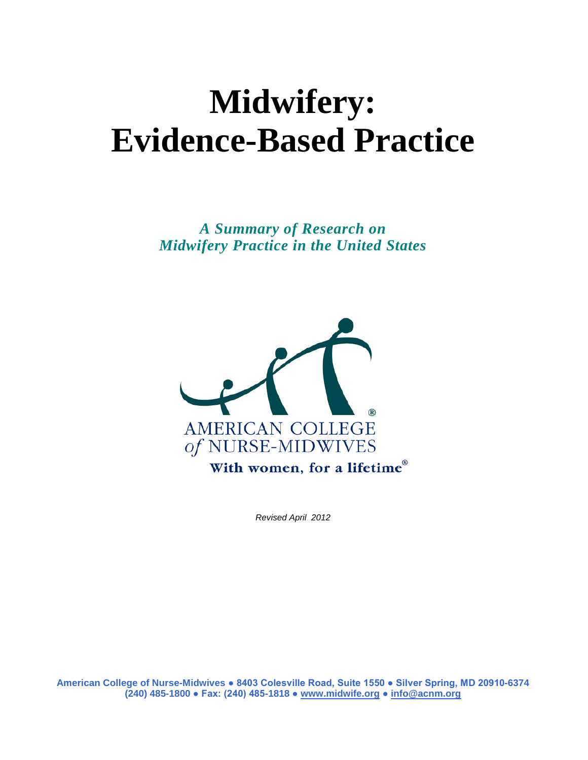# **Midwifery: Evidence-Based Practice**

*A Summary of Research on Midwifery Practice in the United States*



*Revised April 2012*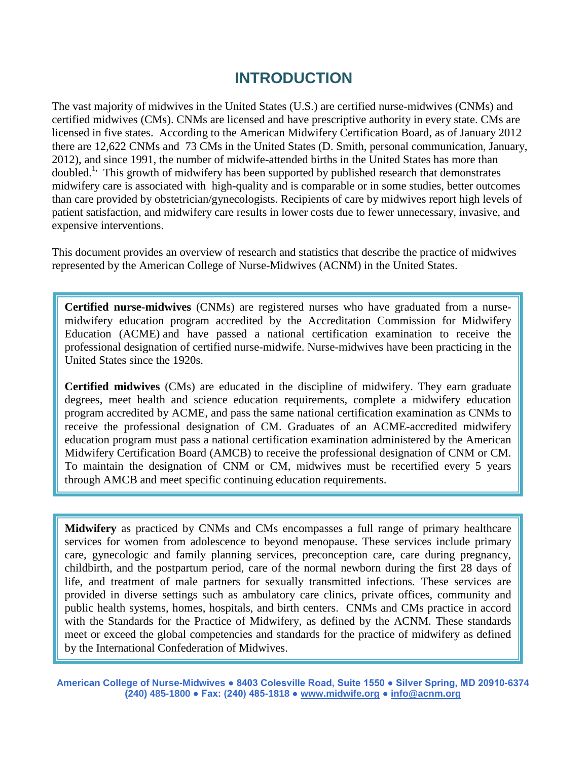### **INTRODUCTION**

The vast majority of midwives in the United States (U.S.) are certified nurse-midwives (CNMs) and certified midwives (CMs). CNMs are licensed and have prescriptive authority in every state. CMs are licensed in five states. According to the American Midwifery Certification Board, as of January 2012 there are 12,622 CNMs and 73 CMs in the United States (D. Smith, personal communication, January, 2012), and since 1991, the number of midwife-attended births in the United States has more than doubled.<sup>1,</sup> This growth of midwifery has been supported by published research that demonstrates midwifery care is associated with high-quality and is comparable or in some studies, better outcomes than care provided by obstetrician/gynecologists. Recipients of care by midwives report high levels of patient satisfaction, and midwifery care results in lower costs due to fewer unnecessary, invasive, and expensive interventions.

This document provides an overview of research and statistics that describe the practice of midwives represented by the American College of Nurse-Midwives (ACNM) in the United States.

**Certified nurse-midwives** (CNMs) are registered nurses who have graduated from a nursemidwifery education program accredited by the Accreditation Commission for Midwifery Education (ACME) and have passed a national certification examination to receive the professional designation of certified nurse-midwife. Nurse-midwives have been practicing in the United States since the 1920s.

**Certified midwives** (CMs) are educated in the discipline of midwifery. They earn graduate degrees, meet health and science education requirements, complete a midwifery education program accredited by ACME, and pass the same national certification examination as CNMs to receive the professional designation of CM. Graduates of an ACME-accredited midwifery education program must pass a national certification examination administered by the American Midwifery Certification Board (AMCB) to receive the professional designation of CNM or CM. To maintain the designation of CNM or CM, midwives must be recertified every 5 years through AMCB and meet specific continuing education requirements.

**Midwifery** as practiced by CNMs and CMs encompasses a full range of primary healthcare services for women from adolescence to beyond menopause. These services include primary care, gynecologic and family planning services, preconception care, care during pregnancy, childbirth, and the postpartum period, care of the normal newborn during the first 28 days of life, and treatment of male partners for sexually transmitted infections. These services are provided in diverse settings such as ambulatory care clinics, private offices, community and public health systems, homes, hospitals, and birth centers. CNMs and CMs practice in accord with the Standards for the Practice of Midwifery, as defined by the ACNM. These standards meet or exceed the global competencies and standards for the practice of midwifery as defined by the International Confederation of Midwives.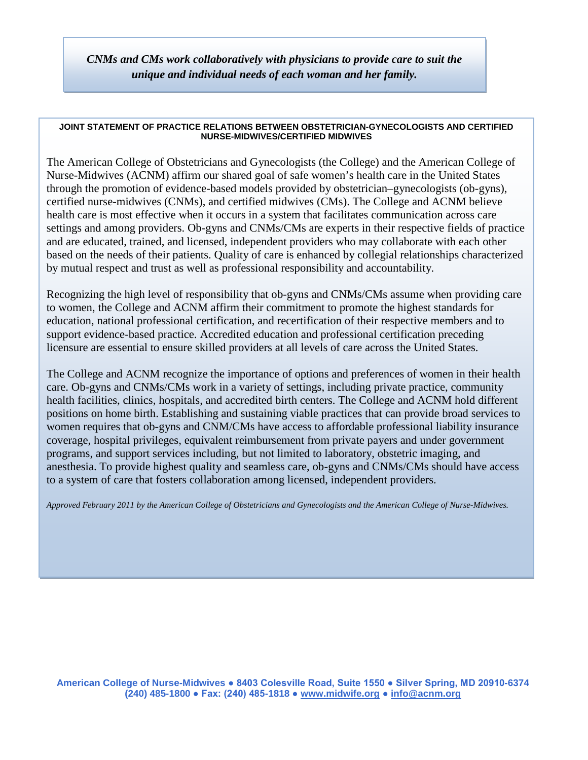*CNMs and CMs work collaboratively with physicians to provide care to suit the unique and individual needs of each woman and her family.*

#### **JOINT STATEMENT OF PRACTICE RELATIONS BETWEEN OBSTETRICIAN-GYNECOLOGISTS AND CERTIFIED NURSE-MIDWIVES/CERTIFIED MIDWIVES**

The American College of Obstetricians and Gynecologists (the College) and the American College of Nurse-Midwives (ACNM) affirm our shared goal of safe women's health care in the United States through the promotion of evidence-based models provided by obstetrician–gynecologists (ob-gyns), certified nurse-midwives (CNMs), and certified midwives (CMs). The College and ACNM believe health care is most effective when it occurs in a system that facilitates communication across care settings and among providers. Ob-gyns and CNMs/CMs are experts in their respective fields of practice and are educated, trained, and licensed, independent providers who may collaborate with each other based on the needs of their patients. Quality of care is enhanced by collegial relationships characterized by mutual respect and trust as well as professional responsibility and accountability.

Recognizing the high level of responsibility that ob-gyns and CNMs/CMs assume when providing care to women, the College and ACNM affirm their commitment to promote the highest standards for education, national professional certification, and recertification of their respective members and to support evidence-based practice. Accredited education and professional certification preceding licensure are essential to ensure skilled providers at all levels of care across the United States.

The College and ACNM recognize the importance of options and preferences of women in their health care. Ob-gyns and CNMs/CMs work in a variety of settings, including private practice, community health facilities, clinics, hospitals, and accredited birth centers. The College and ACNM hold different positions on home birth. Establishing and sustaining viable practices that can provide broad services to women requires that ob-gyns and CNM/CMs have access to affordable professional liability insurance coverage, hospital privileges, equivalent reimbursement from private payers and under government programs, and support services including, but not limited to laboratory, obstetric imaging, and anesthesia. To provide highest quality and seamless care, ob-gyns and CNMs/CMs should have access to a system of care that fosters collaboration among licensed, independent providers.

*Approved February 2011 by the American College of Obstetricians and Gynecologists and the American College of Nurse-Midwives.*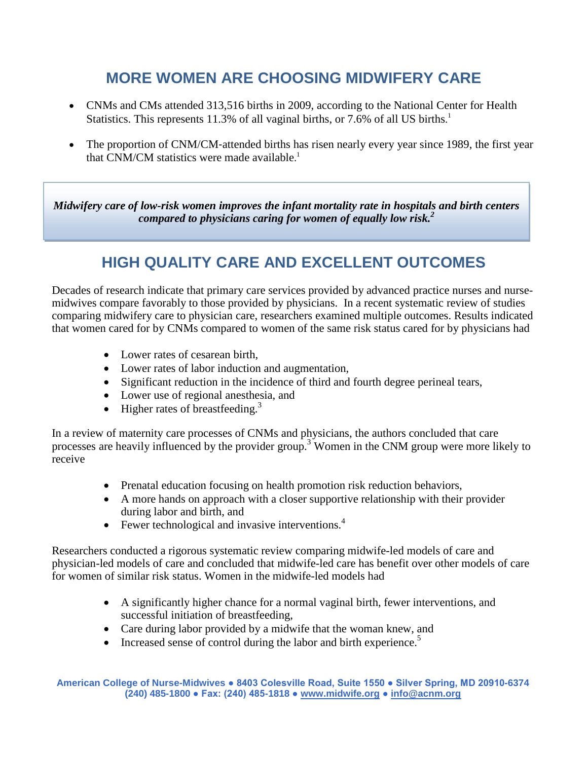### **MORE WOMEN ARE CHOOSING MIDWIFERY CARE**

- CNMs and CMs attended 313,516 births in 2009, according to the National Center for Health Statistics. This represents 11.3% of all vaginal births, or 7.6% of all US births.<sup>1</sup>
- The proportion of CNM/CM-attended births has risen nearly every year since 1989, the first year that CNM/CM statistics were made available.<sup>1</sup>

*Midwifery care of low-risk women improves the infant mortality rate in hospitals and birth centers compared to physicians caring for women of equally low risk. 2*

### **HIGH QUALITY CARE AND EXCELLENT OUTCOMES**

Decades of research indicate that primary care services provided by advanced practice nurses and nursemidwives compare favorably to those provided by physicians. In a recent systematic review of studies comparing midwifery care to physician care, researchers examined multiple outcomes. Results indicated that women cared for by CNMs compared to women of the same risk status cared for by physicians had

- Lower rates of cesarean birth.
- Lower rates of labor induction and augmentation,
- Significant reduction in the incidence of third and fourth degree perineal tears,
- Lower use of regional anesthesia, and
- Higher rates of breastfeeding.<sup>3</sup>

In a review of maternity care processes of CNMs and physicians, the authors concluded that care processes are heavily influenced by the provider group.<sup>3</sup> Women in the CNM group were more likely to receive

- Prenatal education focusing on health promotion risk reduction behaviors,
- A more hands on approach with a closer supportive relationship with their provider during labor and birth, and
- Fewer technological and invasive interventions. $4$

Researchers conducted a rigorous systematic review comparing midwife-led models of care and physician-led models of care and concluded that midwife-led care has benefit over other models of care for women of similar risk status. Women in the midwife-led models had

- A significantly higher chance for a normal vaginal birth, fewer interventions, and successful initiation of breastfeeding,
- Care during labor provided by a midwife that the woman knew, and
- Increased sense of control during the labor and birth experience.<sup>5</sup>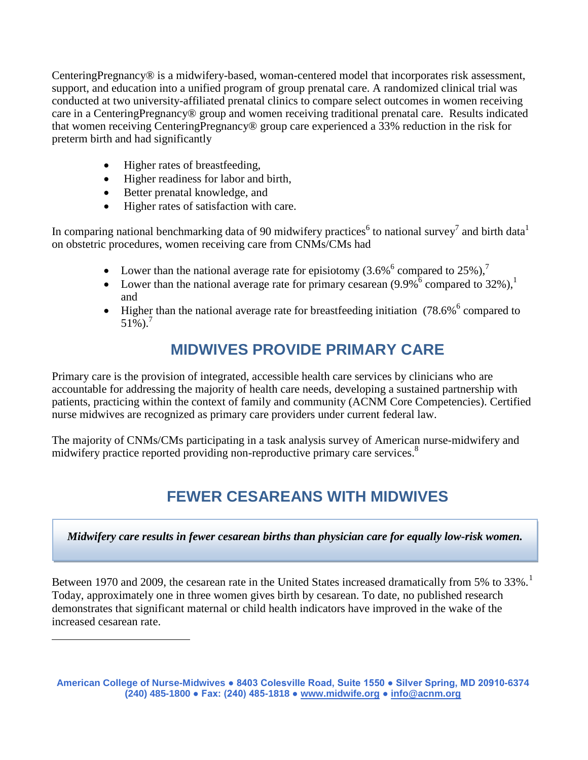CenteringPregnancy® is a midwifery-based, woman-centered model that incorporates risk assessment, support, and education into a unified program of group prenatal care. A randomized clinical trial was conducted at two university-affiliated prenatal clinics to compare select outcomes in women receiving care in a CenteringPregnancy® group and women receiving traditional prenatal care. Results indicated that women receiving CenteringPregnancy® group care experienced a 33% reduction in the risk for preterm birth and had significantly

- Higher rates of breastfeeding,
- Higher readiness for labor and birth,
- Better prenatal knowledge, and

<span id="page-4-0"></span> $\overline{a}$ 

• Higher rates of satisfaction with care.

In comparing national benchmarking data of 90 midwifery practices<sup>6</sup> to national survey<sup>7</sup> and birth data<sup>1</sup> on obstetric procedures, women receiving care from CNMs/CMs had

- Lower than the national average rate for episiotomy  $(3.6\%$ <sup>6</sup> compared to 25%),<sup>7</sup>
- Lower than the national average rate for primary cesarean  $(9.9\%^6$  compared to 32%),<sup>1</sup> and
- Higher than the national average rate for breastfeeding initiation (78.6%<sup>6</sup> compared to  $51\%$ ).<sup>7</sup>

### **MIDWIVES PROVIDE PRIMARY CARE**

Primary care is the provision of integrated, accessible health care services by clinicians who are accountable for addressing the majority of health care needs, developing a sustained partnership with patients, practicing within the context of family and community (ACNM Core Competencies). Certified nurse midwives are recognized as primary care providers under current federal law.

The majority of CNMs/CMs participating in a task analysis survey of American nurse-midwifery and midwifery practice reported providing non-reproductive primary care services.<sup>8</sup>

# **FEWER CESAREANS WITH MIDWIVES**

*Midwifery care results in fewer cesarean births than physician care for equally low-risk women.*

Between [1](#page-4-0)970 and 2009, the cesarean rate in the United States increased dramatically from 5% to 33%.<sup>1</sup> Today, approximately one in three women gives birth by cesarean. To date, no published research demonstrates that significant maternal or child health indicators have improved in the wake of the increased cesarean rate.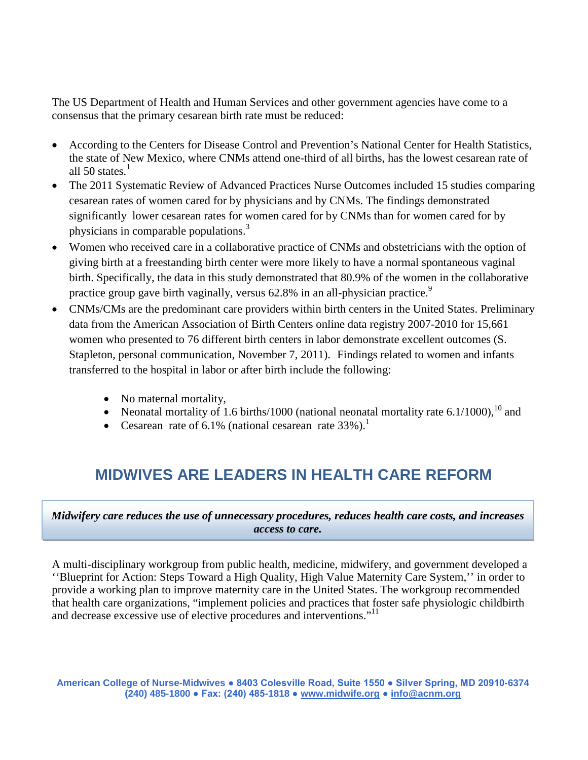The US Department of Health and Human Services and other government agencies have come to a consensus that the primary cesarean birth rate must be reduced:

- According to the Centers for Disease Control and Prevention's National Center for Health Statistics, the state of New Mexico, where CNMs attend one-third of all births, has the lowest cesarean rate of all 50 states. $<sup>1</sup>$ </sup>
- The 2011 Systematic Review of Advanced Practices Nurse Outcomes included 15 studies comparing cesarean rates of women cared for by physicians and by CNMs. The findings demonstrated significantly lower cesarean rates for women cared for by CNMs than for women cared for by physicians in comparable populations.<sup>3</sup>
- Women who received care in a collaborative practice of CNMs and obstetricians with the option of giving birth at a freestanding birth center were more likely to have a normal spontaneous vaginal birth. Specifically, the data in this study demonstrated that 80.9% of the women in the collaborative practice group gave birth vaginally, versus 62.8% in an all-physician practice.<sup>9</sup>
- CNMs/CMs are the predominant care providers within birth centers in the United States. Preliminary data from the American Association of Birth Centers online data registry 2007-2010 for 15,661 women who presented to 76 different birth centers in labor demonstrate excellent outcomes (S. Stapleton, personal communication, November 7, 2011). Findings related to women and infants transferred to the hospital in labor or after birth include the following:
	- No maternal mortality,
	- Neonatal mortality of 1.6 births/1000 (national neonatal mortality rate 6.1/1000),  $^{10}$  and
	- Cesarean rate of 6.1% (national cesarean rate  $33\%$ ).<sup>1</sup>

# **MIDWIVES ARE LEADERS IN HEALTH CARE REFORM**

### *Midwifery care reduces the use of unnecessary procedures, reduces health care costs, and increases access to care.*

A multi-disciplinary workgroup from public health, medicine, midwifery, and government developed a ''Blueprint for Action: Steps Toward a High Quality, High Value Maternity Care System,'' in order to provide a working plan to improve maternity care in the United States. The workgroup recommended that health care organizations, "implement policies and practices that foster safe physiologic childbirth and decrease excessive use of elective procedures and interventions."11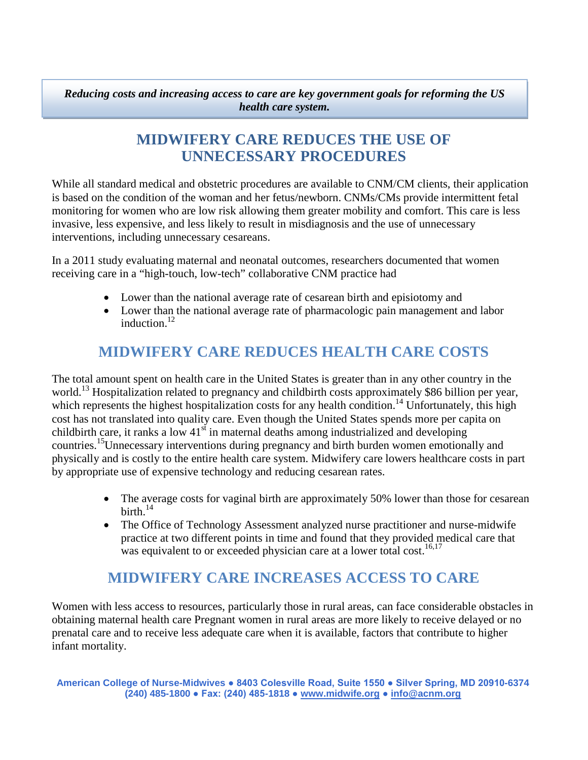*Reducing costs and increasing access to care are key government goals for reforming the US health care system.* 

### **MIDWIFERY CARE REDUCES THE USE OF UNNECESSARY PROCEDURES**

While all standard medical and obstetric procedures are available to CNM/CM clients, their application is based on the condition of the woman and her fetus/newborn. CNMs/CMs provide intermittent fetal monitoring for women who are low risk allowing them greater mobility and comfort. This care is less invasive, less expensive, and less likely to result in misdiagnosis and the use of unnecessary interventions, including unnecessary cesareans.

In a 2011 study evaluating maternal and neonatal outcomes, researchers documented that women receiving care in a "high-touch, low-tech" collaborative CNM practice had

- Lower than the national average rate of cesarean birth and episiotomy and
- Lower than the national average rate of pharmacologic pain management and labor induction. 12

### **MIDWIFERY CARE REDUCES HEALTH CARE COSTS**

The total amount spent on health care in the United States is greater than in any other country in the world.<sup>13</sup> Hospitalization related to pregnancy and childbirth costs approximately \$86 billion per year, which represents the highest hospitalization costs for any health condition.<sup>14</sup> Unfortunately, this high cost has not translated into quality care. Even though the United States spends more per capita on childbirth care, it ranks a low  $41<sup>st</sup>$  in maternal deaths among industrialized and developing countries. 15 Unnecessary interventions during pregnancy and birth burden women emotionally and physically and is costly to the entire health care system. Midwifery care lowers healthcare costs in part by appropriate use of expensive technology and reducing cesarean rates.

- The average costs for vaginal birth are approximately 50% lower than those for cesarean birth. $^{14}$
- The Office of Technology Assessment analyzed nurse practitioner and nurse-midwife practice at two different points in time and found that they provided medical care that was equivalent to or exceeded physician care at a lower total cost.<sup>16,17</sup>

### **MIDWIFERY CARE INCREASES ACCESS TO CARE**

Women with less access to resources, particularly those in rural areas, can face considerable obstacles in obtaining maternal health care Pregnant women in rural areas are more likely to receive delayed or no prenatal care and to receive less adequate care when it is available, factors that contribute to higher infant mortality.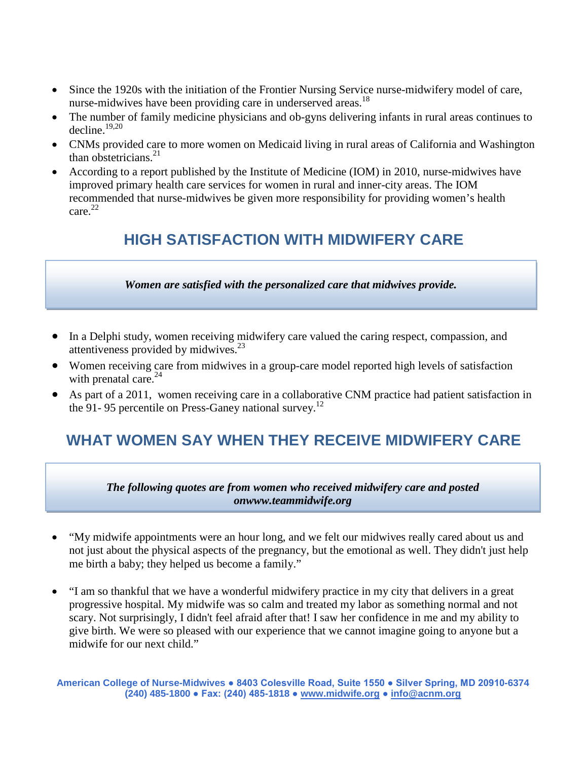- Since the 1920s with the initiation of the Frontier Nursing Service nurse-midwifery model of care, nurse-midwives have been providing care in underserved areas.<sup>18</sup>
- The number of family medicine physicians and ob-gyns delivering infants in rural areas continues to decline. $19,20$
- CNMs provided care to more women on Medicaid living in rural areas of California and Washington than obstetricians. 21
- According to a report published by the Institute of Medicine (IOM) in 2010, nurse-midwives have improved primary health care services for women in rural and inner-city areas. The IOM recommended that nurse-midwives be given more responsibility for providing women's health care. 22

### **HIGH SATISFACTION WITH MIDWIFERY CARE**

*Women are satisfied with the personalized care that midwives provide.*

- In a Delphi study, women receiving midwifery care valued the caring respect, compassion, and attentiveness provided by midwives.<sup>23</sup>
- Women receiving care from midwives in a group-care model reported high levels of satisfaction with prenatal care.<sup>24</sup>
- As part of a 2011, women receiving care in a collaborative CNM practice had patient satisfaction in the 91-95 percentile on Press-Ganey national survey.<sup>12</sup>

# **WHAT WOMEN SAY WHEN THEY RECEIVE MIDWIFERY CARE**

*The following quotes are from women who received midwifery care and posted onwww.teammidwife.org*

- "My midwife appointments were an hour long, and we felt our midwives really cared about us and not just about the physical aspects of the pregnancy, but the emotional as well. They didn't just help me birth a baby; they helped us become a family."
- "I am so thankful that we have a wonderful midwifery practice in my city that delivers in a great progressive hospital. My midwife was so calm and treated my labor as something normal and not scary. Not surprisingly, I didn't feel afraid after that! I saw her confidence in me and my ability to give birth. We were so pleased with our experience that we cannot imagine going to anyone but a midwife for our next child."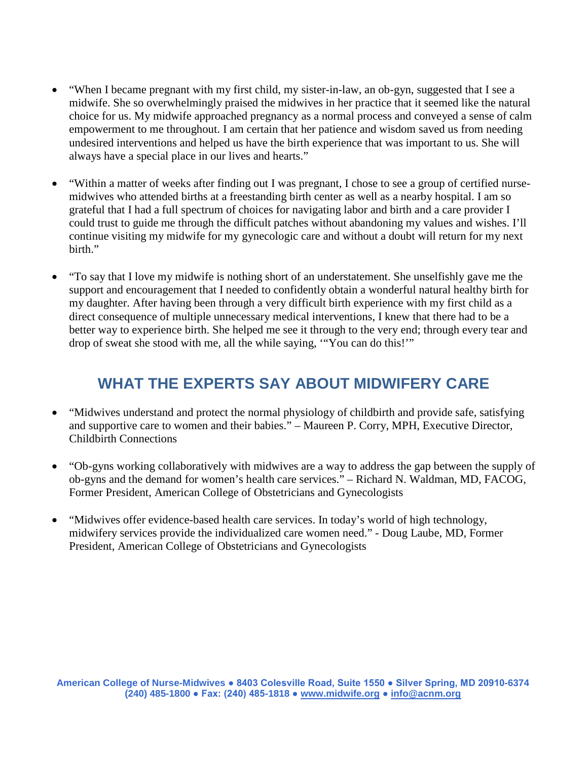- "When I became pregnant with my first child, my sister-in-law, an ob-gyn, suggested that I see a midwife. She so overwhelmingly praised the midwives in her practice that it seemed like the natural choice for us. My midwife approached pregnancy as a normal process and conveyed a sense of calm empowerment to me throughout. I am certain that her patience and wisdom saved us from needing undesired interventions and helped us have the birth experience that was important to us. She will always have a special place in our lives and hearts."
- "Within a matter of weeks after finding out I was pregnant, I chose to see a group of certified nursemidwives who attended births at a freestanding birth center as well as a nearby hospital. I am so grateful that I had a full spectrum of choices for navigating labor and birth and a care provider I could trust to guide me through the difficult patches without abandoning my values and wishes. I'll continue visiting my midwife for my gynecologic care and without a doubt will return for my next birth."
- "To say that I love my midwife is nothing short of an understatement. She unselfishly gave me the support and encouragement that I needed to confidently obtain a wonderful natural healthy birth for my daughter. After having been through a very difficult birth experience with my first child as a direct consequence of multiple unnecessary medical interventions, I knew that there had to be a better way to experience birth. She helped me see it through to the very end; through every tear and drop of sweat she stood with me, all the while saying, '"You can do this!'"

### **WHAT THE EXPERTS SAY ABOUT MIDWIFERY CARE**

- "Midwives understand and protect the normal physiology of childbirth and provide safe, satisfying and supportive care to women and their babies." – Maureen P. Corry, MPH, Executive Director, Childbirth Connections
- "Ob-gyns working collaboratively with midwives are a way to address the gap between the supply of ob-gyns and the demand for women's health care services." – Richard N. Waldman, MD, FACOG, Former President, American College of Obstetricians and Gynecologists
- "Midwives offer evidence-based health care services. In today's world of high technology, midwifery services provide the individualized care women need." - Doug Laube, MD, Former President, American College of Obstetricians and Gynecologists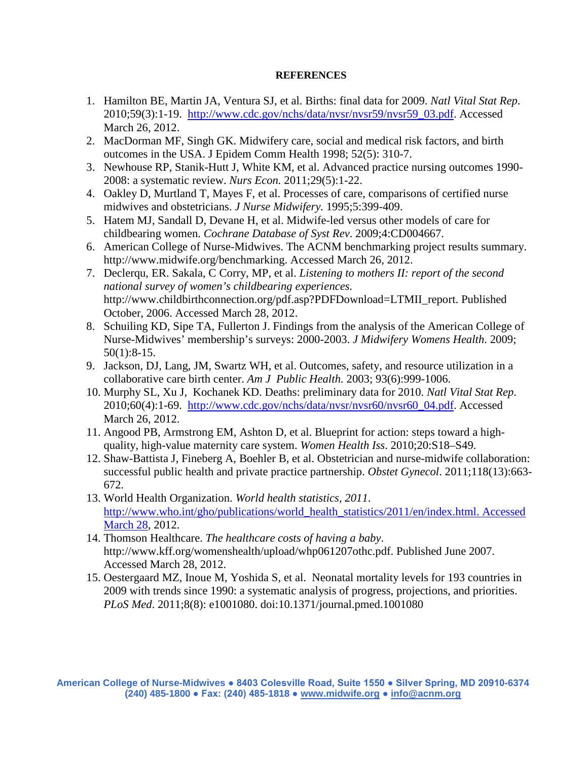### **REFERENCES**

- 1. Hamilton BE, Martin JA, Ventura SJ, et al. Births: final data for 2009. *Natl Vital Stat Rep*. 2010;59(3):1-19. [http://www.cdc.gov/nchs/data/nvsr/nvsr59/nvsr59\\_03.pdf.](http://www.cdc.gov/nchs/data/nvsr/nvsr59/nvsr59_03.pdf) Accessed March 26, 2012.
- 2. MacDorman MF, Singh GK. Midwifery care, social and medical risk factors, and birth outcomes in the USA. J Epidem Comm Health 1998; 52(5): 310-7.
- 3. Newhouse RP, Stanik-Hutt J, White KM, et al. Advanced practice nursing outcomes 1990- 2008: a systematic review. *Nurs Econ.* 2011;29(5):1-22.
- 4. Oakley D, Murtland T, Mayes F, et al. Processes of care, comparisons of certified nurse midwives and obstetricians. *J Nurse Midwifery.* 1995;5:399-409.
- 5. Hatem MJ, Sandall D, Devane H, et al. Midwife-led versus other models of care for childbearing women. *Cochrane Database of Syst Rev*. 2009;4:CD004667.
- 6. American College of Nurse-Midwives. The ACNM benchmarking project results summary. http://www.midwife.org/benchmarking. Accessed March 26, 2012.
- 7. Declerqu, ER. Sakala, C Corry, MP, et al. *Listening to mothers II: report of the second national survey of women's childbearing experiences.* http://www.childbirthconnection.org/pdf.asp?PDFDownload=LTMII\_report. Published October, 2006. Accessed March 28, 2012.
- 8. Schuiling KD, Sipe TA, Fullerton J. Findings from the analysis of the American College of Nurse-Midwives' membership's surveys: 2000-2003. *J Midwifery Womens Health*. 2009; 50(1):8-15.
- 9. Jackson, DJ, Lang, JM, Swartz WH, et al. Outcomes, safety, and resource utilization in a collaborative care birth center. *Am J Public Health.* 2003; 93(6):999-1006.
- 10. Murphy SL, Xu J, Kochanek KD. Deaths: preliminary data for 2010. *Natl Vital Stat Rep*. 2010;60(4):1-69. [http://www.cdc.gov/nchs/data/nvsr/nvsr60/nvsr60\\_04.pdf.](http://www.cdc.gov/nchs/data/nvsr/nvsr60/nvsr60_04.pdf) Accessed March 26, 2012.
- 11. Angood PB, Armstrong EM, Ashton D, et al. Blueprint for action: steps toward a highquality, high-value maternity care system. *Women Health Iss*. 2010;20:S18–S49.
- 12. Shaw-Battista J, Fineberg A, Boehler B, et al. Obstetrician and nurse-midwife collaboration: successful public health and private practice partnership. *Obstet Gynecol*. 2011;118(13):663- 672.
- 13. World Health Organization. *World health statistics, 2011*. [http://www.who.int/gho/publications/world\\_health\\_statistics/2011/en/index.html. Accessed](http://www.who.int/gho/publications/world_health_statistics/2011/en/index.html.%20Accessed%20March%2028)  [March 28,](http://www.who.int/gho/publications/world_health_statistics/2011/en/index.html.%20Accessed%20March%2028) 2012.
- 14. Thomson Healthcare. *The healthcare costs of having a baby*. [http://www.kff.org/womenshealth/upload/whp061207othc.pdf.](http://www.kff.org/womenshealth/upload/whp061207othc.pdf) Published June 2007. Accessed March 28, 2012.
- 15. Oestergaard MZ, Inoue M, Yoshida S, et al. Neonatal mortality levels for 193 countries in 2009 with trends since 1990: a systematic analysis of progress, projections, and priorities. *PLoS Med*. 2011;8(8): e1001080. doi:10.1371/journal.pmed.1001080